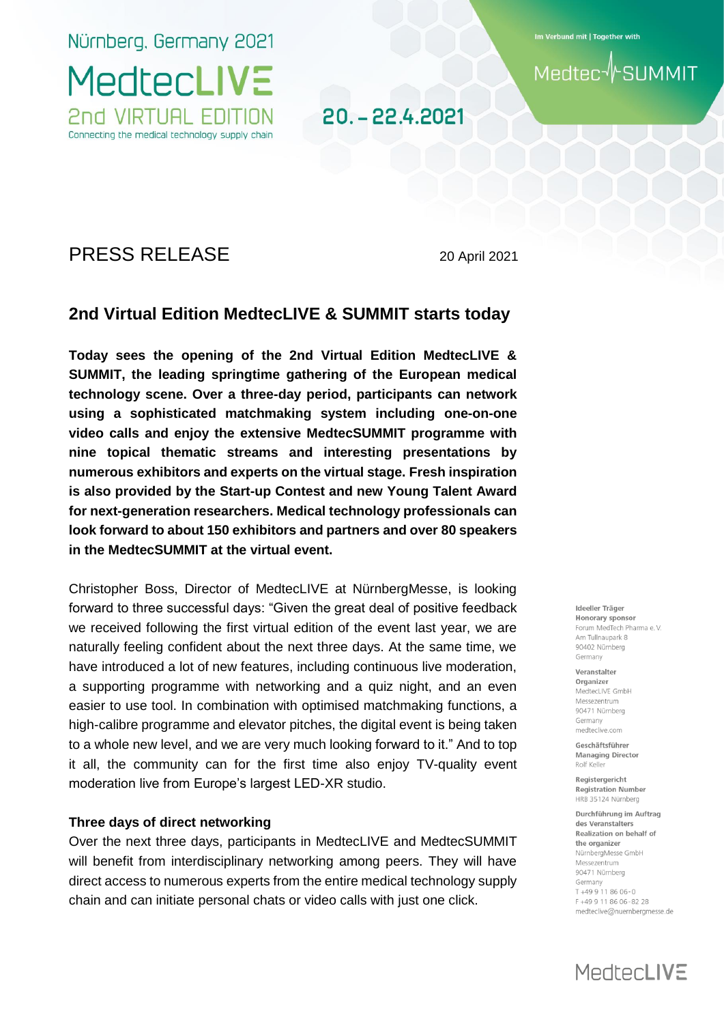Nürnberg, Germany 2021

**MedtecLIVE** 

2nd VIRTUAL EDITION Connecting the medical technology supply chain Im Verbund mit | Together with

**SUMMIT** Medtec

# 20. - 22.4.2021

# PRESS RELEASE 20 April 2021

# **2nd Virtual Edition MedtecLIVE & SUMMIT starts today**

**Today sees the opening of the 2nd Virtual Edition MedtecLIVE & SUMMIT, the leading springtime gathering of the European medical technology scene. Over a three-day period, participants can network using a sophisticated matchmaking system including one-on-one video calls and enjoy the extensive MedtecSUMMIT programme with nine topical thematic streams and interesting presentations by numerous exhibitors and experts on the virtual stage. Fresh inspiration is also provided by the Start-up Contest and new Young Talent Award for next-generation researchers. Medical technology professionals can look forward to about 150 exhibitors and partners and over 80 speakers in the MedtecSUMMIT at the virtual event.** 

Christopher Boss, Director of MedtecLIVE at NürnbergMesse, is looking forward to three successful days: "Given the great deal of positive feedback we received following the first virtual edition of the event last year, we are naturally feeling confident about the next three days. At the same time, we have introduced a lot of new features, including continuous live moderation, a supporting programme with networking and a quiz night, and an even easier to use tool. In combination with optimised matchmaking functions, a high-calibre programme and elevator pitches, the digital event is being taken to a whole new level, and we are very much looking forward to it." And to top it all, the community can for the first time also enjoy TV-quality event moderation live from Europe's largest LED-XR studio.

## **Three days of direct networking**

Over the next three days, participants in MedtecLIVE and MedtecSUMMIT will benefit from interdisciplinary networking among peers. They will have direct access to numerous experts from the entire medical technology supply chain and can initiate personal chats or video calls with just one click.

Ideeller Träger Honorary sponsor Forum MedTech Pharma e.V. Am Tullnaupark 8 90402 Nürnberg Germany

Veranstalter Organizer MedtecLIVE GmbH Messezentrum 90471 Nürnberg Germany medteclive.com

Geschäftsführer **Managing Director** Rolf Keller

Registergericht **Registration Number** HRB 35124 Nürnberg

Durchführung im Auftrag des Veranstalters Realization on behalf of the organizer NürnbergMesse GmbH Messezentrum 90471 Nürnberg Germany  $T + 499118606 - 0$ F+499118606-8228 medteclive@nuernbergmesse.de

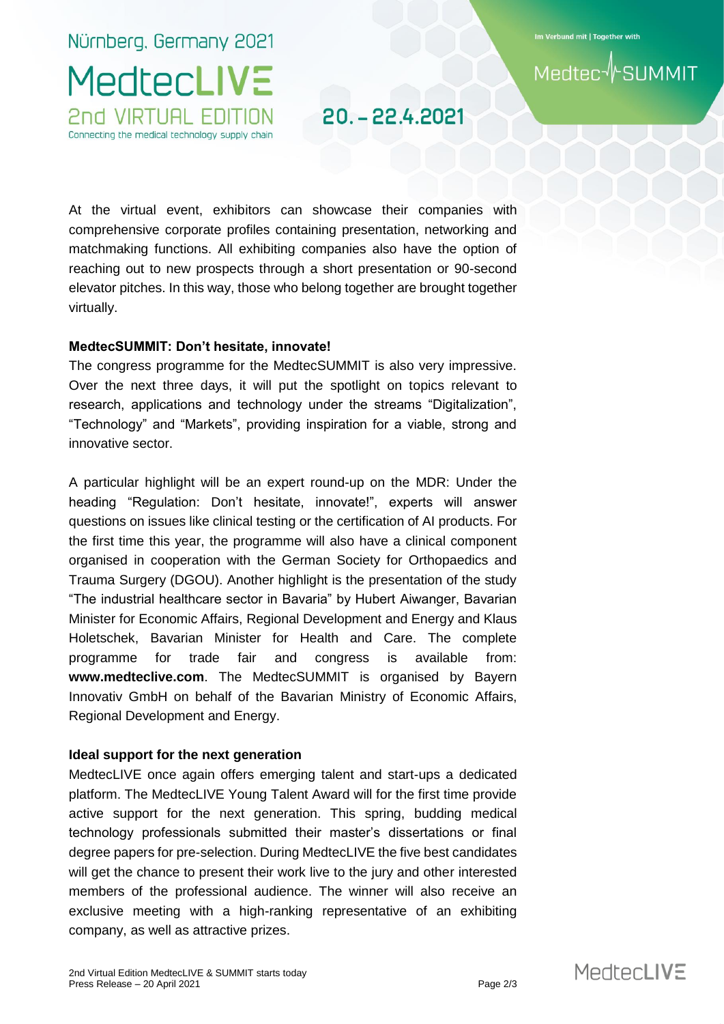Nürnberg, Germany 2021 **MedtecLIVE** 

2nd VIRTUAL EDITION Connecting the medical technology supply chain Im Verbund mit | Together with

# **SUMMIT Medtec**

20. - 22.4.2021

At the virtual event, exhibitors can showcase their companies with comprehensive corporate profiles containing presentation, networking and matchmaking functions. All exhibiting companies also have the option of reaching out to new prospects through a short presentation or 90-second elevator pitches. In this way, those who belong together are brought together virtually.

# **MedtecSUMMIT: Don't hesitate, innovate!**

The congress programme for the MedtecSUMMIT is also very impressive. Over the next three days, it will put the spotlight on topics relevant to research, applications and technology under the streams "Digitalization", "Technology" and "Markets", providing inspiration for a viable, strong and innovative sector.

A particular highlight will be an expert round-up on the MDR: Under the heading "Regulation: Don't hesitate, innovate!", experts will answer questions on issues like clinical testing or the certification of AI products. For the first time this year, the programme will also have a clinical component organised in cooperation with the German Society for Orthopaedics and Trauma Surgery (DGOU). Another highlight is the presentation of the study "The industrial healthcare sector in Bavaria" by Hubert Aiwanger, Bavarian Minister for Economic Affairs, Regional Development and Energy and Klaus Holetschek, Bavarian Minister for Health and Care. The complete programme for trade fair and congress is available from: **www.medteclive.com**. The MedtecSUMMIT is organised by Bayern Innovativ GmbH on behalf of the Bavarian Ministry of Economic Affairs, Regional Development and Energy.

# **Ideal support for the next generation**

MedtecLIVE once again offers emerging talent and start-ups a dedicated platform. The MedtecLIVE Young Talent Award will for the first time provide active support for the next generation. This spring, budding medical technology professionals submitted their master's dissertations or final degree papers for pre-selection. During MedtecLIVE the five best candidates will get the chance to present their work live to the jury and other interested members of the professional audience. The winner will also receive an exclusive meeting with a high-ranking representative of an exhibiting company, as well as attractive prizes.